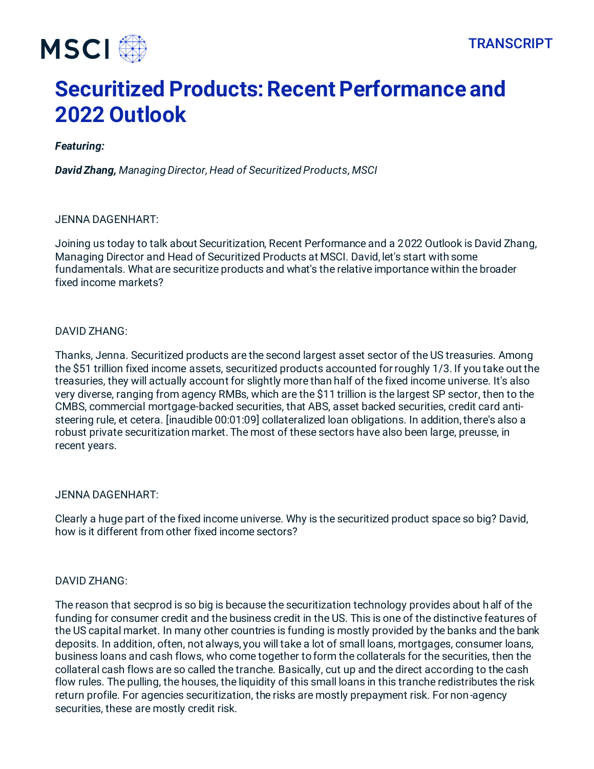

# **Securitized Products: Recent Performance and 2022 Outlook**

## *Featuring:*

*David Zhang, Managing Director, Head of Securitized Products, MSCI*

## JENNA DAGENHART:

Joining us today to talk about Securitization, Recent Performance and a 2022 Outlook is David Zhang, Managing Director and Head of Securitized Products at MSCI. David, let's start with some fundamentals. What are securitize products and what's the relative importance within the broader fixed income markets?

## DAVID ZHANG:

Thanks, Jenna. Securitized products are the second largest asset sector of the US treasuries. Among the \$51 trillion fixed income assets, securitized products accounted for roughly 1/3. If you take out the treasuries, they will actually account for slightly more than half of the fixed income universe. It's also very diverse, ranging from agency RMBs, which are the \$11 trillion is the largest SP sector, then to the CMBS, commercial mortgage-backed securities, that ABS, asset backed securities, credit card antisteering rule, et cetera. [inaudible 00:01:09] collateralized loan obligations. In addition, there's also a robust private securitization market. The most of these sectors have also been large, preusse, in recent years.

#### JENNA DAGENHART:

Clearly a huge part of the fixed income universe. Why is the securitized product space so big? David, how is it different from other fixed income sectors?

#### DAVID ZHANG:

The reason that secprod is so big is because the securitization technology provides about half of the funding for consumer credit and the business credit in the US. This is one of the distinctive features of the US capital market. In many other countries is funding is mostly provided by the banks and the bank deposits. In addition, often, not always, you will take a lot of small loans, mortgages, consumer loans, business loans and cash flows, who come together to form the collaterals for the securities, then the collateral cash flows are so called the tranche. Basically, cut up and the direct according to the cash flow rules. The pulling, the houses, the liquidity of this small loans in this tranche redistributes the risk return profile. For agencies securitization, the risks are mostly prepayment risk. For non-agency securities, these are mostly credit risk.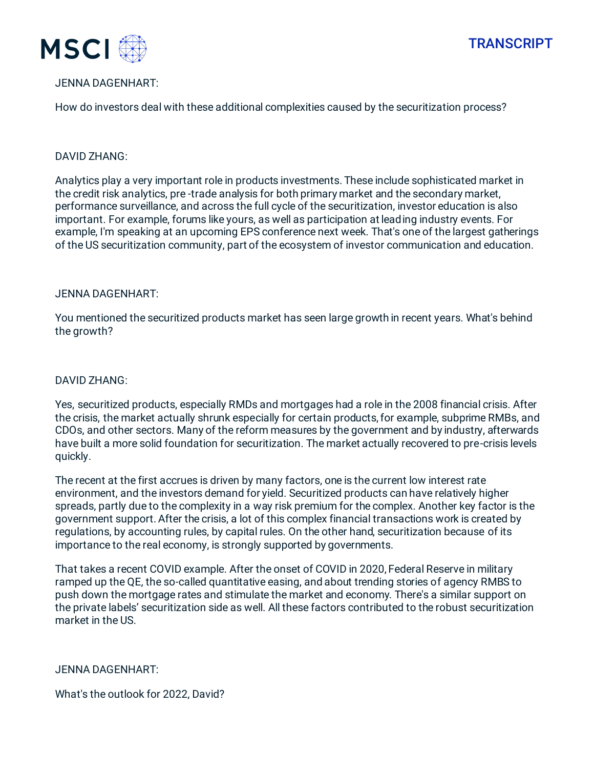



## JENNA DAGENHART:

How do investors deal with these additional complexities caused by the securitization process?

#### DAVID ZHANG:

Analytics play a very important role in products investments. These include sophisticated market in the credit risk analytics, pre -trade analysis for both primary market and the secondary market, performance surveillance, and across the full cycle of the securitization, investor education is also important. For example, forums like yours, as well as participation at leading industry events. For example, I'm speaking at an upcoming EPS conference next week. That's one of the largest gatherings of the US securitization community, part of the ecosystem of investor communication and education.

#### JENNA DAGENHART:

You mentioned the securitized products market has seen large growth in recent years. What's behind the growth?

#### DAVID ZHANG:

Yes, securitized products, especially RMDs and mortgages had a role in the 2008 financial crisis. After the crisis, the market actually shrunk especially for certain products, for example, subprime RMBs, and CDOs, and other sectors. Many of the reform measures by the government and by industry, afterwards have built a more solid foundation for securitization. The market actually recovered to pre-crisis levels quickly.

The recent at the first accrues is driven by many factors, one is the current low interest rate environment, and the investors demand for yield. Securitized products can have relatively higher spreads, partly due to the complexity in a way risk premium for the complex. Another key factor is the government support. After the crisis, a lot of this complex financial transactions work is created by regulations, by accounting rules, by capital rules. On the other hand, securitization because of its importance to the real economy, is strongly supported by governments.

That takes a recent COVID example. After the onset of COVID in 2020, Federal Reserve in military ramped up the QE, the so-called quantitative easing, and about trending stories of agency RMBS to push down the mortgage rates and stimulate the market and economy. There's a similar support on the private labels' securitization side as well. All these factors contributed to the robust securitization market in the US.

#### JENNA DAGENHART:

What's the outlook for 2022, David?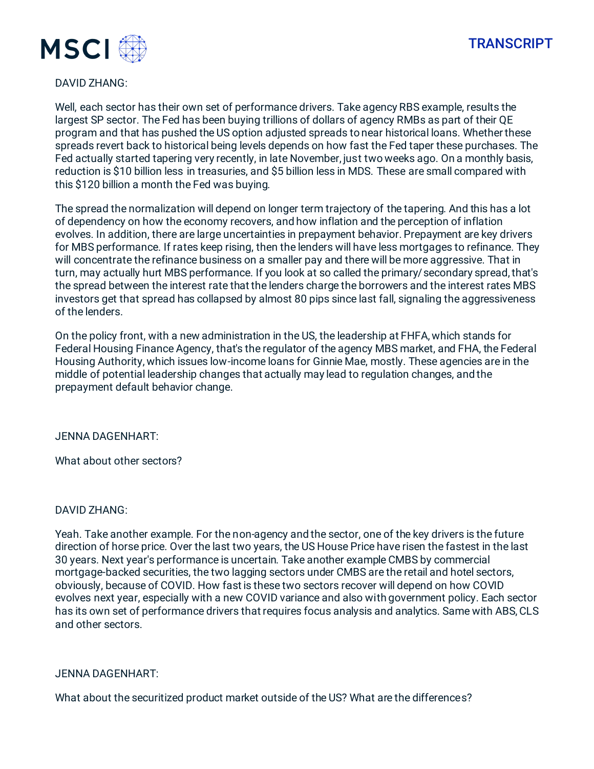



## DAVID ZHANG:

Well, each sector has their own set of performance drivers. Take agency RBS example, results the largest SP sector. The Fed has been buying trillions of dollars of agency RMBs as part of their QE program and that has pushed the US option adjusted spreads to near historical loans. Whether these spreads revert back to historical being levels depends on how fast the Fed taper these purchases. The Fed actually started tapering very recently, in late November, just two weeks ago. On a monthly basis, reduction is \$10 billion less in treasuries, and \$5 billion less in MDS. These are small compared with this \$120 billion a month the Fed was buying.

The spread the normalization will depend on longer term trajectory of the tapering. And this has a lot of dependency on how the economy recovers, and how inflation and the perception of inflation evolves. In addition, there are large uncertainties in prepayment behavior. Prepayment are key drivers for MBS performance. If rates keep rising, then the lenders will have less mortgages to refinance. They will concentrate the refinance business on a smaller pay and there will be more aggressive. That in turn, may actually hurt MBS performance. If you look at so called the primary/secondary spread, that's the spread between the interest rate that the lenders charge the borrowers and the interest rates MBS investors get that spread has collapsed by almost 80 pips since last fall, signaling the aggressiveness of the lenders.

On the policy front, with a new administration in the US, the leadership at FHFA, which stands for Federal Housing Finance Agency, that's the regulator of the agency MBS market, and FHA, the Federal Housing Authority, which issues low-income loans for Ginnie Mae, mostly. These agencies are in the middle of potential leadership changes that actually may lead to regulation changes, and the prepayment default behavior change.

JENNA DAGENHART:

What about other sectors?

#### DAVID ZHANG:

Yeah. Take another example. For the non-agency and the sector, one of the key drivers is the future direction of horse price. Over the last two years, the US House Price have risen the fastest in the last 30 years. Next year's performance is uncertain. Take another example CMBS by commercial mortgage-backed securities, the two lagging sectors under CMBS are the retail and hotel sectors, obviously, because of COVID. How fast is these two sectors recover will depend on how COVID evolves next year, especially with a new COVID variance and also with government policy. Each sector has its own set of performance drivers that requires focus analysis and analytics. Same with ABS, CLS and other sectors.

#### JENNA DAGENHART:

What about the securitized product market outside of the US? What are the differences?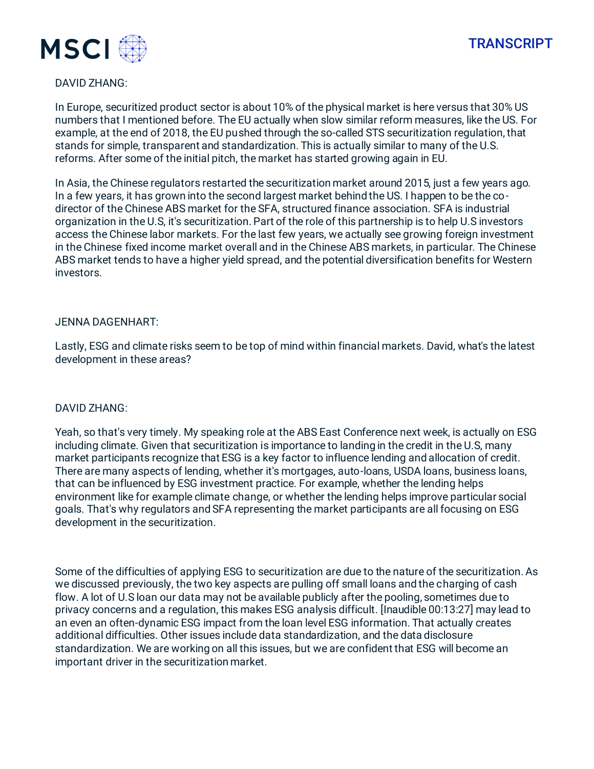



#### DAVID ZHANG:

In Europe, securitized product sector is about 10% of the physical market is here versus that 30% US numbers that I mentioned before. The EU actually when slow similar reform measures, like the US. For example, at the end of 2018, the EU pushed through the so-called STS securitization regulation, that stands for simple, transparent and standardization. This is actually similar to many of the U.S. reforms. After some of the initial pitch, the market has started growing again in EU.

In Asia, the Chinese regulators restarted the securitization market around 2015, just a few years ago. In a few years, it has grown into the second largest market behind the US. I happen to be the codirector of the Chinese ABS market for the SFA, structured finance association. SFA is industrial organization in the U.S, it's securitization. Part of the role of this partnership is to help U.S investors access the Chinese labor markets. For the last few years, we actually see growing foreign investment in the Chinese fixed income market overall and in the Chinese ABS markets, in particular. The Chinese ABS market tends to have a higher yield spread, and the potential diversification benefits for Western investors.

#### JENNA DAGENHART:

Lastly, ESG and climate risks seem to be top of mind within financial markets. David, what's the latest development in these areas?

## DAVID ZHANG:

Yeah, so that's very timely. My speaking role at the ABS East Conference next week, is actually on ESG including climate. Given that securitization is importance to landing in the credit in the U.S, many market participants recognize that ESG is a key factor to influence lending and allocation of credit. There are many aspects of lending, whether it's mortgages, auto-loans, USDA loans, business loans, that can be influenced by ESG investment practice. For example, whether the lending helps environment like for example climate change, or whether the lending helps improve particular social goals. That's why regulators and SFA representing the market participants are all focusing on ESG development in the securitization.

Some of the difficulties of applying ESG to securitization are due to the nature of the securitization. As we discussed previously, the two key aspects are pulling off small loans and the charging of cash flow. A lot of U.S loan our data may not be available publicly after the pooling, sometimes due to privacy concerns and a regulation, this makes ESG analysis difficult. [Inaudible 00:13:27] may lead to an even an often-dynamic ESG impact from the loan level ESG information. That actually creates additional difficulties. Other issues include data standardization, and the data disclosure standardization. We are working on all this issues, but we are confident that ESG will become an important driver in the securitization market.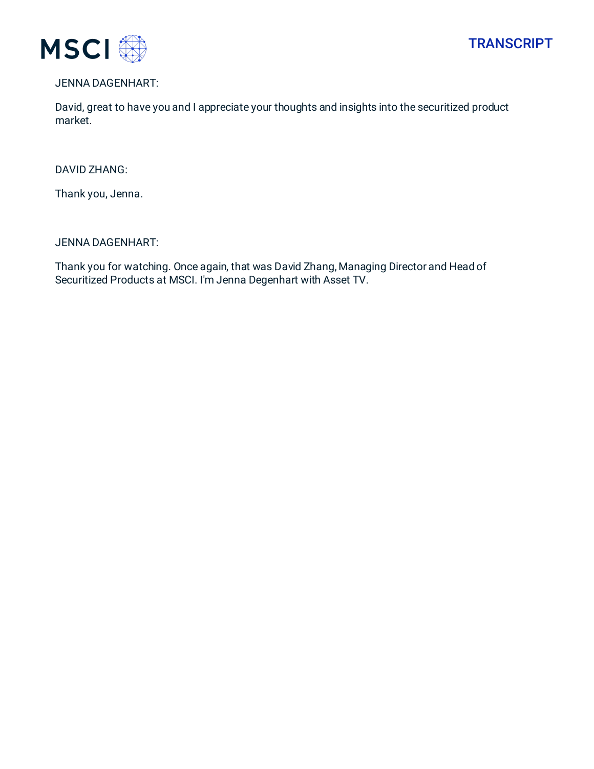



## JENNA DAGENHART:

David, great to have you and I appreciate your thoughts and insights into the securitized product market.

#### DAVID ZHANG:

Thank you, Jenna.

#### JENNA DAGENHART:

Thank you for watching. Once again, that was David Zhang, Managing Director and Head of Securitized Products at MSCI. I'm Jenna Degenhart with Asset TV.